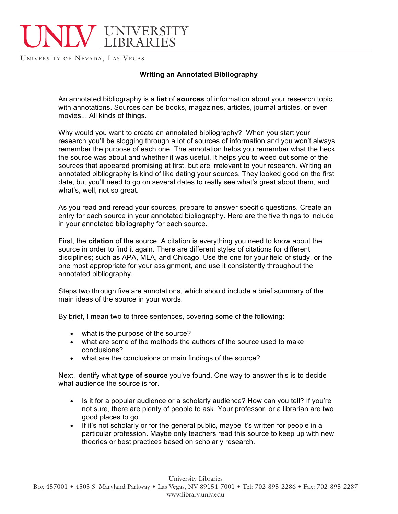## UNIVERSITY LIBRARIES

UNIVERSITY OF NEVADA, LAS VEGAS

## **Writing an Annotated Bibliography**

An annotated bibliography is a **list** of **sources** of information about your research topic, with annotations. Sources can be books, magazines, articles, journal articles, or even movies... All kinds of things.

Why would you want to create an annotated bibliography? When you start your research you'll be slogging through a lot of sources of information and you won't always remember the purpose of each one. The annotation helps you remember what the heck the source was about and whether it was useful. It helps you to weed out some of the sources that appeared promising at first, but are irrelevant to your research. Writing an annotated bibliography is kind of like dating your sources. They looked good on the first date, but you'll need to go on several dates to really see what's great about them, and what's, well, not so great.

As you read and reread your sources, prepare to answer specific questions. Create an entry for each source in your annotated bibliography. Here are the five things to include in your annotated bibliography for each source.

First, the **citation** of the source. A citation is everything you need to know about the source in order to find it again. There are different styles of citations for different disciplines; such as APA, MLA, and Chicago. Use the one for your field of study, or the one most appropriate for your assignment, and use it consistently throughout the annotated bibliography.

Steps two through five are annotations, which should include a brief summary of the main ideas of the source in your words.

By brief, I mean two to three sentences, covering some of the following:

- what is the purpose of the source?
- what are some of the methods the authors of the source used to make conclusions?
- what are the conclusions or main findings of the source?

Next, identify what **type of source** you've found. One way to answer this is to decide what audience the source is for.

- Is it for a popular audience or a scholarly audience? How can you tell? If you're not sure, there are plenty of people to ask. Your professor, or a librarian are two good places to go.
- If it's not scholarly or for the general public, maybe it's written for people in a particular profession. Maybe only teachers read this source to keep up with new theories or best practices based on scholarly research.